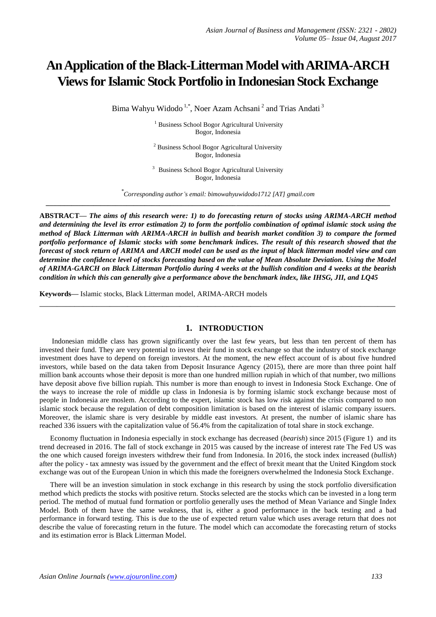# **An Application of the Black-Litterman Model with ARIMA-ARCH Views for Islamic Stock Portfolio in [Indonesian Stock Exchange](http://www.idx.co.id/index-En.html)**

Bima Wahyu Widodo<sup>1,\*</sup>, Noer Azam Achsani<sup>2</sup> and Trias Andati<sup>3</sup>

<sup>1</sup> Business School Bogor Agricultural University Bogor, Indonesia

 $2$  Business School Bogor Agricultural University Bogor, Indonesia

Business School Bogor Agricultural University Bogor, Indonesia

*\* Corresponding author's email: bimowahyuwidodo1712 [AT] gmail.com* **\_\_\_\_\_\_\_\_\_\_\_\_\_\_\_\_\_\_\_\_\_\_\_\_\_\_\_\_\_\_\_\_\_\_\_\_\_\_\_\_\_\_\_\_\_\_\_\_\_\_\_\_\_\_\_\_\_\_\_\_\_\_\_\_\_\_\_\_\_\_\_\_\_\_\_\_\_\_\_\_\_\_\_\_\_\_\_\_\_\_\_\_\_\_**

**ABSTRACT—** *The aims of this research were: 1) to do forecasting return of stocks using ARIMA-ARCH method and determining the level its error estimation 2) to form the portfolio combination of optimal islamic stock using the method of Black Litterman with ARIMA-ARCH in bullish and bearish market condition 3) to compare the formed portfolio performance of Islamic stocks with some benchmark indices. The result of this research showed that the forecast of stock return of ARIMA and ARCH model can be used as the input of black litterman model view and can determine the confidence level of stocks forecasting based on the value of Mean Absolute Deviation. Using the Model of ARIMA-GARCH on Black Litterman Portfolio during 4 weeks at the bullish condition and 4 weeks at the bearish condition in which this can generally give a performance above the benchmark index, like IHSG, JII, and LQ45*

**Keywords—** Islamic stocks, Black Litterman model, ARIMA-ARCH models

# **1. INTRODUCTION**

**\_\_\_\_\_\_\_\_\_\_\_\_\_\_\_\_\_\_\_\_\_\_\_\_\_\_\_\_\_\_\_\_\_\_\_\_\_\_\_\_\_\_\_\_\_\_\_\_\_\_\_\_\_\_\_\_\_\_\_\_\_\_\_\_\_\_\_\_\_\_\_\_\_\_\_\_\_\_\_\_\_**

Indonesian middle class has grown significantly over the last few years, but less than ten percent of them has invested their fund. They are very potential to invest their fund in stock exchange so that the industry of stock exchange investment does have to depend on foreign investors. At the moment, the new effect account of is about five hundred investors, while based on the data taken from Deposit Insurance Agency (2015), there are more than three point half million bank accounts whose their deposit is more than one hundred million rupiah in which of that number, two millions have deposit above five billion rupiah. This number is more than enough to invest in Indonesia Stock Exchange. One of the ways to increase the role of middle up class in Indonesia is by forming islamic stock exchange because most of people in Indonesia are moslem. According to the expert, islamic stock has low risk against the crisis compared to non islamic stock because the regulation of debt composition limitation is based on the interest of islamic company issuers. Moreover, the islamic share is very desirable by middle east investors. At present, the number of islamic share has reached 336 issuers with the capitalization value of 56.4% from the capitalization of total share in stock exchange.

Economy fluctuation in Indonesia especially in stock exchange has decreased (*bearish*) since 2015 (Figure 1) and its trend decreased in 2016. The fall of stock exchange in 2015 was caused by the increase of interest rate The Fed US was the one which caused foreign investers withdrew their fund from Indonesia. In 2016, the stock index increased (*bullish*) after the policy - tax amnesty was issued by the government and the effect of brexit meant that the United Kingdom stock exchange was out of the European Union in which this made the foreigners overwhelmed the Indonesia Stock Exchange.

There will be an investion simulation in stock exchange in this research by using the stock portfolio diversification method which predicts the stocks with positive return. Stocks selected are the stocks which can be invested in a long term period. The method of mutual fund formation or portfolio generally uses the method of Mean Variance and Single Index Model. Both of them have the same weakness, that is, either a good performance in the back testing and a bad performance in forward testing. This is due to the use of expected return value which uses average return that does not describe the value of forecasting return in the future. The model which can accomodate the forecasting return of stocks and its estimation error is Black Litterman Model.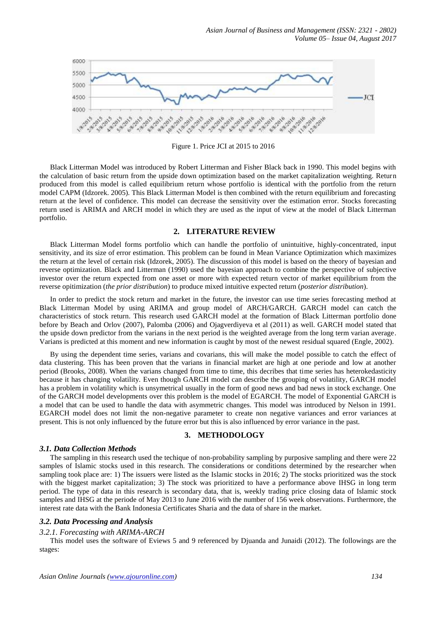

Figure 1. Price JCI at 2015 to 2016

Black Litterman Model was introduced by Robert Litterman and Fisher Black back in 1990. This model begins with the calculation of basic return from the upside down optimization based on the market capitalization weighting. Return produced from this model is called equilibrium return whose portfolio is identical with the portfolio from the return model CAPM (Idzorek. 2005). This Black Litterman Model is then combined with the return equilibrium and forecasting return at the level of confidence. This model can decrease the sensitivity over the estimation error. Stocks forecasting return used is ARIMA and ARCH model in which they are used as the input of view at the model of Black Litterman portfolio.

# **2. LITERATURE REVIEW**

Black Litterman Model forms portfolio which can handle the portfolio of unintuitive, highly-concentrated, input sensitivity, and its size of error estimation. This problem can be found in Mean Variance Optimization which maximizes the return at the level of certain risk (Idzorek, 2005). The discussion of this model is based on the theory of bayesian and reverse optimization. Black and Litterman (1990) used the bayesian approach to combine the perspective of subjective investor over the return expected from one asset or more with expected return vector of market equilibrium from the reverse opitimization (*the prior distribution*) to produce mixed intuitive expected return (*posterior distribution*).

In order to predict the stock return and market in the future, the investor can use time series forecasting method at Black Litterman Model by using ARIMA and group model of ARCH/GARCH. GARCH model can catch the characteristics of stock return. This research used GARCH model at the formation of Black Litterman portfolio done before by Beach and Orlov (2007), Palomba (2006) and Ojagverdiyeva et al (2011) as well. GARCH model stated that the upside down predictor from the varians in the next period is the weighted average from the long term varian average. Varians is predicted at this moment and new information is caught by most of the newest residual squared (Engle, 2002).

By using the dependent time series, varians and covarians, this will make the model possible to catch the effect of data clustering. This has been proven that the varians in financial market are high at one periode and low at another period (Brooks, 2008). When the varians changed from time to time, this decribes that time series has heterokedasticity because it has changing volatility. Even though GARCH model can describe the grouping of volatility, GARCH model has a problem in volatility which is unsymetrical usually in the form of good news and bad news in stock exchange. One of the GARCH model developments over this problem is the model of EGARCH. The model of Exponential GARCH is a model that can be used to handle the data with asymmetric changes. This model was introduced by Nelson in 1991. EGARCH model does not limit the non-negative parameter to create non negative variances and error variances at present. This is not only influenced by the future error but this is also influenced by error variance in the past.

# **3. METHODOLOGY**

# *3.1. Data Collection Methods*

The sampling in this research used the techique of non-probability sampling by purposive sampling and there were 22 samples of Islamic stocks used in this research. The considerations or conditions determined by the researcher when sampling took place are: 1) The issuers were listed as the Islamic stocks in 2016; 2) The stocks prioritized was the stock with the biggest market capitalization; 3) The stock was prioritized to have a performance above IHSG in long term period. The type of data in this research is secondary data, that is, weekly trading price closing data of Islamic stock samples and IHSG at the periode of May 2013 to June 2016 with the number of 156 week observations. Furthermore, the interest rate data with the Bank Indonesia Certificates Sharia and the data of share in the market.

# *3.2. Data Processing and Analysis*

## *3.2.1. Forecasting with ARIMA-ARCH*

This model uses the software of Eviews 5 and 9 referenced by Djuanda and Junaidi (2012). The followings are the stages: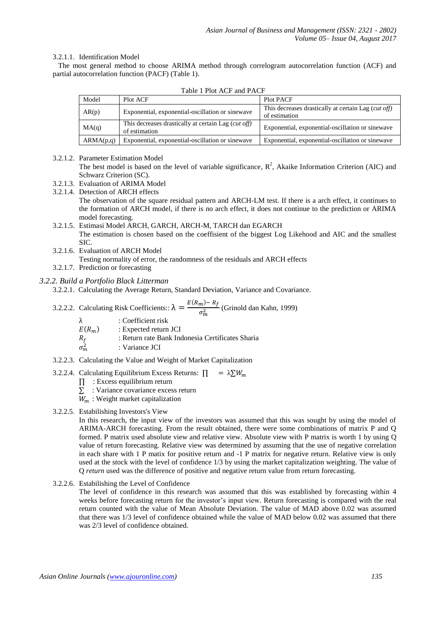## 3.2.1.1. Identification Model

 The most general method to choose ARIMA method through correlogram autocorrelation function (ACF) and partial autocorrelation function (PACF) (Table 1).

| Table 1 FIOU ACT and FACT |                                                                               |                                                                      |  |  |  |  |
|---------------------------|-------------------------------------------------------------------------------|----------------------------------------------------------------------|--|--|--|--|
| Model                     | Plot ACF                                                                      | Plot PACF                                                            |  |  |  |  |
| AR(p)                     | Exponential, exponential-oscillation or sinewave                              | This decreases drastically at certain Lag (cut off)<br>of estimation |  |  |  |  |
| MA(q)                     | This decreases drastically at certain Lag ( <i>cut off</i> )<br>of estimation | Exponential, exponential-oscillation or sinewave                     |  |  |  |  |
| ARMA(p,q)                 | Exponential, exponential-oscillation or sinewave                              | Exponential, exponential-oscillation or sinewave                     |  |  |  |  |

## Table 1 Plot ACF and PACF

## 3.2.1.2. Parameter Estimation Model

The best model is based on the level of variable significance,  $R^2$ , Akaike Information Criterion (AIC) and Schwarz Criterion (SC).

- 3.2.1.3. Evaluation of ARIMA Model
- 3.2.1.4. Detection of ARCH effects

The observation of the square residual pattern and ARCH-LM test. If there is a arch effect, it continues to the formation of ARCH model, if there is no arch effect, it does not continue to the prediction or ARIMA model forecasting.

- 3.2.1.5. Estimasi Model ARCH, GARCH, ARCH-M, TARCH dan EGARCH The estimation is chosen based on the coeffisient of the biggest Log Likehood and AIC and the smallest SIC.
- 3.2.1.6. Evaluation of ARCH Model
	- Testing normality of error, the randomness of the residuals and ARCH effects

3.2.1.7. Prediction or forecasting

## *3.2.2. Build a Portfolio Black Litterman*

3.2.2.1. Calculating the Average Return, Standard Deviation, Variance and Covariance.

3.2.2.2. Calculating Risk Coefficients:: 
$$
\lambda = \frac{E(R_m) - R_f}{\sigma_m^2}
$$
 (Grinold dan Kahn, 1999)

 $\lambda$  : Coefficient risk<br>  $E(R_m)$  : Expected return : Expected return JCI  $R_f$  : Return rate Bank Indonesia Certificates Sharia  $\sigma_{m}^{2}$ : Variance JCI

- 3.2.2.3. Calculating the Value and Weight of Market Capitalization
- 3.2.2.4. Calculating Equilibrium Excess Returns:  $\prod_{n=1}^{\infty}$  =  $\lambda \sum_{n=1}^{n} W_n$ 
	- $\Pi$ : Excess equilibrium return
	- $\Sigma$ : Variance covariance excess return
	- $W_m$ : Weight market capitalization

# 3.2.2.5. Estabilishing Investors's View

In this research, the input view of the investors was assumed that this was sought by using the model of ARIMA-ARCH forecasting. From the result obtained, there were some combinations of matrix P and Q formed. P matrix used absolute view and relative view. Absolute view with P matrix is worth 1 by using Q value of return forecasting. Relative view was determined by assuming that the use of negative correlation in each share with 1 P matix for positive return and -1 P matrix for negative return. Relative view is only used at the stock with the level of confidence 1/3 by using the market capitalization weighting. The value of Q *return* used was the difference of positive and negative return value from return forecasting.

# 3.2.2.6. Estabilishing the Level of Confidence

The level of confidence in this research was assumed that this was established by forecasting within 4 weeks before forecasting return for the investor's input view. Return forecasting is compared with the real return counted with the value of Mean Absolute Deviation. The value of MAD above 0.02 was assumed that there was 1/3 level of confidence obtained while the value of MAD below 0.02 was assumed that there was 2/3 level of confidence obtained.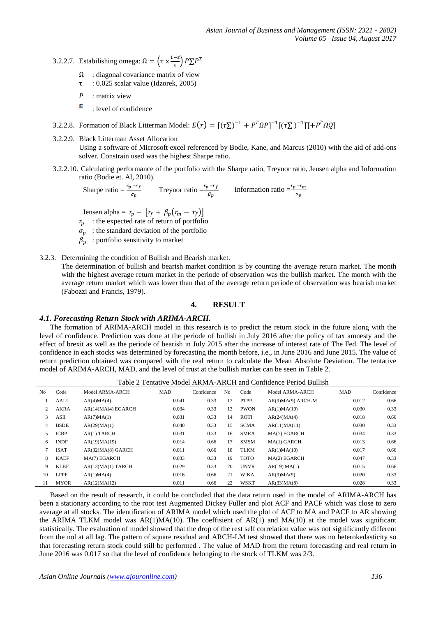- 3.2.2.7. Estabilishing omega:  $\Omega = (\tau x^{\frac{1}{2}})$  $\frac{1}{\varepsilon}$ )  $P\Sigma P^T$ 
	- $\Omega$ : diagonal covariance matrix of view
	- $\tau$  : 0.025 scalar value (Idzorek, 2005)
	- $P$ : matrix view
	- ε : level of confidence
- 3.2.2.8. Formation of Black Litterman Model:  $E(r) = [(\tau \Sigma)^{-1} + P^T \Omega P]^{-1} [(\tau \Sigma)^{-1} \Pi + P^T \Omega P]$
- 3.2.2.9. Black Litterman Asset Allocation Using a software of Microsoft excel referenced by Bodie, Kane, and Marcus (2010) with the aid of add-ons solver*.* Constrain used was the highest Sharpe ratio.
- 3.2.2.10. Calculating performance of the portfolio with the Sharpe ratio, Treynor ratio, Jensen alpha and Information ratio (Bodie et. Al, 2010).

Sharpe ratio  $= \frac{r_p - r_f}{\sigma_p}$  Treynor ratio  $= \frac{r_p - r_f}{\beta_p}$  Information ratio  $= \frac{r_p - r_f}{\sigma_p}$ 

Jensen alpha =  $r_p - [r_f + \beta_p(r_m - r_f)]$ 

- $r_p$ : the expected rate of return of portfolio
- $\sigma_p$ : the standard deviation of the portfolio
- $\beta_p$ : portfolio sensitivity to market
- 3.2.3. Determining the condition of Bullish and Bearish market.

The determination of bullish and bearish market condition is by counting the average return market. The month with the highest average return market in the periode of observation was the bullish market. The month with the average return market which was lower than that of the average return periode of observation was bearish market (Fabozzi and Francis, 1979).

# **4. RESULT**

# *4.1. Forecasting Return Stock with ARIMA-ARCH.*

The formation of ARIMA-ARCH model in this research is to predict the return stock in the future along with the level of confidence. Prediction was done at the periode of bullish in July 2016 after the policy of tax amnesty and the effect of brexit as well as the periode of bearish in July 2015 after the increase of interest rate of The Fed. The level of confidence in each stocks was determined by forecasting the month before, i.e., in June 2016 and June 2015. The value of return prediction obtained was compared with the real return to calculate the Mean Absolute Deviation. The tentative model of ARIMA-ARCH, MAD, and the level of trust at the bullish market can be seen in Table 2.

| No. | Code        | Model ARMA-ARCH    | <b>MAD</b> | Confidence | N <sub>0</sub> | Code        | Model ARMA-ARCH     | <b>MAD</b> | Confidence |
|-----|-------------|--------------------|------------|------------|----------------|-------------|---------------------|------------|------------|
|     | AALI        | AR(4)MA(4)         | 0.041      | 0.33       | 12             | PTPP        | $AR(9)MA(9) ARCH-M$ | 0.012      | 0.66       |
| 2   | <b>AKRA</b> | AR(14)MA(4) EGARCH | 0.034      | 0.33       | 13             | <b>PWON</b> | AR(1)MA(10)         | 0.030      | 0.33       |
| 3   | ASII        | AR(7)MA(1)         | 0.031      | 0.33       | 14             | <b>ROTI</b> | AR(24)MA(4)         | 0.018      | 0.66       |
| 4   | <b>BSDE</b> | AR(29)MA(1)        | 0.040      | 0.33       | 15             | <b>SCMA</b> | AR(11)MA(11)        | 0.030      | 0.33       |
| 5.  | <b>ICBP</b> | AR(1) TARCH        | 0.031      | 0.33       | 16             | <b>SMRA</b> | MA(7) EGARCH        | 0.034      | 0.33       |
| 6   | <b>INDF</b> | AR(19)MA(19)       | 0.014      | 0.66       | 17             | <b>SMSM</b> | MA(1) GARCH         | 0.013      | 0.66       |
|     | <b>ISAT</b> | AR(32)MA(8) GARCH  | 0.011      | 0.66       | 18             | <b>TLKM</b> | AR(1)MA(10)         | 0.017      | 0.66       |
| 8   | <b>KAEF</b> | MA(7) EGARCH       | 0.033      | 0.33       | 19             | <b>TOTO</b> | MA(2) EGARCH        | 0.047      | 0.33       |
| 9   | <b>KLBF</b> | AR(13)MA(1) TARCH  | 0.029      | 0.33       | 20             | <b>UNVR</b> | AR(19) MA(1)        | 0.015      | 0.66       |
| 10  | <b>LPPF</b> | AR(1)MA(4)         | 0.016      | 0.66       | 21             | <b>WIKA</b> | AR(9)MA(9)          | 0.020      | 0.33       |
| 11  | <b>MYOR</b> | AR(12)MA(12)       | 0.011      | 0.66       | 22             | <b>WSKT</b> | AR(33)MA(8)         | 0.028      | 0.33       |

Table 2 Tentative Model ARMA-ARCH and Confidence Period Bullish

Based on the result of research, it could be concluded that the data return used in the model of ARIMA-ARCH has been a stationary according to the root test Augmented Dickey Fuller and plot ACF and PACF which was close to zero average at all stocks. The identification of ARIMA model which used the plot of ACF to MA and PACF to AR showing the ARIMA TLKM model was  $AR(1)MA(10)$ . The coeffisient of  $AR(1)$  and  $MA(10)$  at the model was significant statistically. The evaluation of model showed that the drop of the rest self correlation value was not significantly different from the nol at all lag. The pattern of square residual and ARCH-LM test showed that there was no heterokedasticity so that forecasting return stock could still be performed . The value of MAD from the return forecasting and real return in June 2016 was 0.017 so that the level of confidence belonging to the stock of TLKM was 2/3.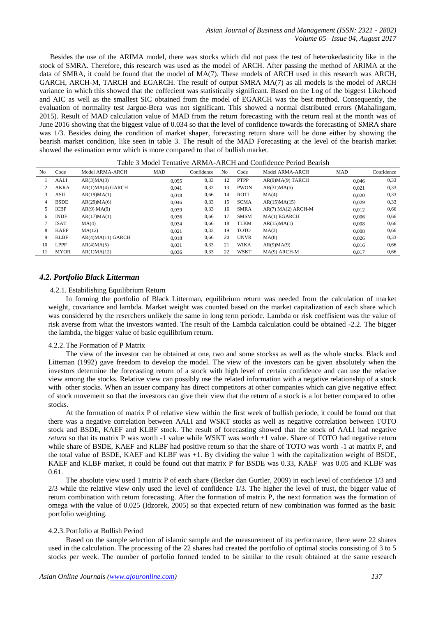Besides the use of the ARIMA model, there was stocks which did not pass the test of heterokedasticity like in the stock of SMRA. Therefore, this research was used as the model of ARCH. After passing the method of ARIMA at the data of SMRA, it could be found that the model of MA(7). These models of ARCH used in this research was ARCH, GARCH, ARCH-M, TARCH and EGARCH. The resulf of output SMRA MA(7) as all models is the model of ARCH variance in which this showed that the coffecient was statistically significant. Based on the Log of the biggest Likehood and AIC as well as the smallest SIC obtained from the model of EGARCH was the best method. Consequently, the evaluation of normality test Jargue-Bera was not significant. This showed a normal distributed errors (Mahalingam, 2015). Result of MAD calculation value of MAD from the return forecasting with the return real at the month was of June 2016 showing that the biggest value of 0.034 so that the level of confidence towards the forecasting of SMRA share was 1/3. Besides doing the condition of market shaper, forecasting return share will be done either by showing the bearish market condition, like seen in table 3. The result of the MAD Forecasting at the level of the bearish market showed the estimation error which is more compared to that of bullish market.

| No | Code        | Model ARMA-ARCH   | <b>MAD</b> | Confidence | No | Code        | Model ARMA-ARCH      | <b>MAD</b> | Confidence |
|----|-------------|-------------------|------------|------------|----|-------------|----------------------|------------|------------|
|    | <b>AALI</b> | AR(3)MA(3)        | 0,055      | 0.33       | 12 | <b>PTPP</b> | AR(9)MA(9) TARCH     | 0.046      | 0.33       |
|    | <b>AKRA</b> | AR(1)MA(4) GARCH  | 0,041      | 0.33       | 13 | <b>PWON</b> | AR(31)MA(5)          | 0.021      | 0.33       |
| 3  | ASII        | AR(19)MA(1)       | 0.018      | 0,66       | 14 | <b>ROTI</b> | MA(4)                | 0.020      | 0.33       |
| 4  | <b>BSDE</b> | AR(29)MA(6)       | 0.046      | 0.33       | 15 | <b>SCMA</b> | AR(15)MA(15)         | 0.029      | 0.33       |
| 5. | <b>ICBP</b> | AR(9) MA(9)       | 0.039      | 0.33       | 16 | <b>SMRA</b> | $AR(7) MA(2) ARCH-M$ | 0.012      | 0,66       |
| 6  | <b>INDF</b> | AR(17)MA(1)       | 0.036      | 0,66       | 17 | <b>SMSM</b> | MA(1) EGARCH         | 0.006      | 0,66       |
|    | <b>ISAT</b> | MA(4)             | 0,034      | 0,66       | 18 | <b>TLKM</b> | AR(15)MA(1)          | 0,008      | 0,66       |
| 8  | <b>KAEF</b> | MA(12)            | 0,021      | 0.33       | 19 | <b>TOTO</b> | MA(3)                | 0,008      | 0,66       |
| 9  | <b>KLBF</b> | AR(4)MA(11) GARCH | 0.018      | 0,66       | 20 | <b>UNVR</b> | MA(8)                | 0.026      | 0.33       |
| 10 | <b>LPPF</b> | AR(4)MA(5)        | 0,031      | 0.33       | 21 | <b>WIKA</b> | AR(9)MA(9)           | 0.016      | 0,66       |
| 11 | <b>MYOR</b> | AR(1)MA(12)       | 0.036      | 0.33       | 22 | <b>WSKT</b> | $MA(9)$ ARCH-M       | 0.017      | 0,66       |

Table 3 Model Tentative ARMA-ARCH and Confidence Period Bearish

# *4.2. Portfolio Black Litterman*

## 4.2.1. Estabilishing Equilibrium Return

In forming the portfolio of Black Litterman, equilibrium return was needed from the calculation of market weight, covariance and lambda*.* Market weight was counted based on the market capitalization of each share which was considered by the reserchers unlikely the same in long term periode. Lambda or risk coeffisient was the value of risk averse from what the investors wanted. The result of the Lambda calculation could be obtained -2.2. The bigger the lambda, the bigger value of basic equilibrium return.

#### 4.2.2.The Formation of P Matrix

The view of the investor can be obtained at one, two and some stockss as well as the whole stocks. Black and Litteman (1992) gave freedom to develop the model. The view of the investors can be given absolutely when the investors determine the forecasting return of a stock with high level of certain confidence and can use the relative view among the stocks. Relative view can possibly use the related information with a negative relationship of a stock with other stocks. When an issuer company has direct competitors at other companies which can give negative effect of stock movement so that the investors can give their view that the return of a stock is a lot better compared to other stocks.

At the formation of matrix P of relative view within the first week of bullish periode, it could be found out that there was a negative correlation between AALI and WSKT stocks as well as negative correlation between TOTO stock and BSDE, KAEF and KLBF stock. The result of forecasting showed that the stock of AALI had negative *return* so that its matrix P was worth -1 value while WSKT was worth +1 value. Share of TOTO had negative return while share of BSDE, KAEF and KLBF had positive return so that the share of TOTO was worth -1 at matrix P, and the total value of BSDE, KAEF and KLBF was +1. By dividing the value 1 with the capitalization weight of BSDE, KAEF and KLBF market, it could be found out that matrix P for BSDE was 0.33, KAEF was 0.05 and KLBF was 0.61.

The absolute view used 1 matrix P of each share (Becker dan Gurtler, 2009) in each level of confidence 1/3 and 2/3 while the relative view only used the level of confidence 1/3. The higher the level of trust, the bigger value of return combination with return forecasting. After the formation of matrix P, the next formation was the formation of omega with the value of 0.025 (Idzorek, 2005) so that expected return of new combination was formed as the basic portfolio weighting.

#### 4.2.3.Portfolio at Bullish Period

Based on the sample selection of islamic sample and the measurement of its performance, there were 22 shares used in the calculation. The processing of the 22 shares had created the portfolio of optimal stocks consisting of 3 to 5 stocks per week. The number of porfolio formed tended to be similar to the result obtained at the same research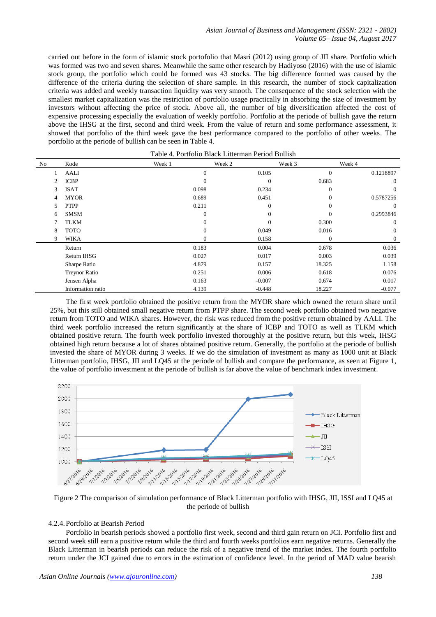carried out before in the form of islamic stock portofolio that Masri (2012) using group of JII share. Portfolio which was formed was two and seven shares. Meanwhile the same other research by Hadiyoso (2016) with the use of islamic stock group, the portfolio which could be formed was 43 stocks. The big difference formed was caused by the difference of the criteria during the selection of share sample. In this research, the number of stock capitalization criteria was added and weekly transaction liquidity was very smooth. The consequence of the stock selection with the smallest market capitalization was the restriction of portfolio usage practically in absorbing the size of investment by investors without affecting the price of stock. Above all, the number of big diversification affected the cost of expensive processing especially the evaluation of weekly portfolio. Portfolio at the periode of bullish gave the return above the IHSG at the first, second and third week. From the value of return and some performance assessment, it showed that portfolio of the third week gave the best performance compared to the portfolio of other weeks. The portfolio at the periode of bullish can be seen in Table 4.

| Table +. I chilono Diack Enterman I chou Dunism |                      |              |          |                |              |  |
|-------------------------------------------------|----------------------|--------------|----------|----------------|--------------|--|
| No                                              | Kode                 | Week 1       | Week 2   | Week 3         | Week 4       |  |
|                                                 | <b>AALI</b>          | $\mathbf{0}$ | 0.105    | $\overline{0}$ | 0.1218897    |  |
| 2                                               | <b>ICBP</b>          | $\mathbf{0}$ | 0        | 0.683          | $\mathbf{0}$ |  |
| 3                                               | <b>ISAT</b>          | 0.098        | 0.234    | $\theta$       | $\mathbf{0}$ |  |
| 4                                               | <b>MYOR</b>          | 0.689        | 0.451    | $\Omega$       | 0.5787256    |  |
| 5                                               | <b>PTPP</b>          | 0.211        | 0        | $\overline{0}$ | $\theta$     |  |
| 6                                               | SMSM                 | $\mathbf{0}$ | 0        | $\theta$       | 0.2993846    |  |
| 7                                               | <b>TLKM</b>          | $\mathbf{0}$ | 0        | 0.300          | $\theta$     |  |
| 8                                               | <b>TOTO</b>          | $\Omega$     | 0.049    | 0.016          | $\Omega$     |  |
| 9                                               | WIKA                 | 0            | 0.158    | $\overline{0}$ | $\theta$     |  |
|                                                 | Return               | 0.183        | 0.004    | 0.678          | 0.036        |  |
|                                                 | Return IHSG          | 0.027        | 0.017    | 0.003          | 0.039        |  |
|                                                 | Sharpe Ratio         | 4.879        | 0.157    | 18.325         | 1.158        |  |
|                                                 | <b>Treynor Ratio</b> | 0.251        | 0.006    | 0.618          | 0.076        |  |
|                                                 | Jensen Alpha         | 0.163        | $-0.007$ | 0.674          | 0.017        |  |
|                                                 | Information ratio    | 4.139        | $-0.448$ | 18.227         | $-0.077$     |  |

Table 4. Portfolio Black Litterman Period Bullish

The first week portfolio obtained the positive return from the MYOR share which owned the return share until 25%, but this still obtained small negative return from PTPP share. The second week portfolio obtained two negative return from TOTO and WIKA shares. However, the risk was reduced from the positive return obtained by AALI. The third week portfolio increased the return significantly at the share of ICBP and TOTO as well as TLKM which obtained positive return. The fourth week portfolio invested thoroughly at the positive return, but this week, IHSG obtained high return because a lot of shares obtained positive return. Generally, the portfolio at the periode of bullish invested the share of MYOR during 3 weeks. If we do the simulation of investment as many as 1000 unit at Black Litterman portfolio, IHSG, JII and LQ45 at the periode of bullish and compare the performance, as seen at Figure 1, the value of portfolio investment at the periode of bullish is far above the value of benchmark index investment.



Figure 2 The comparison of simulation performance of Black Litterman portfolio with IHSG, JII, ISSI and LQ45 at the periode of bullish

# 4.2.4.Portfolio at Bearish Period

Portfolio in bearish periods showed a portfolio first week, second and third gain return on JCI. Portfolio first and second week still earn a positive return while the third and fourth weeks portfolios earn negative returns. Generally the Black Litterman in bearish periods can reduce the risk of a negative trend of the market index. The fourth portfolio return under the JCI gained due to errors in the estimation of confidence level. In the period of MAD value bearish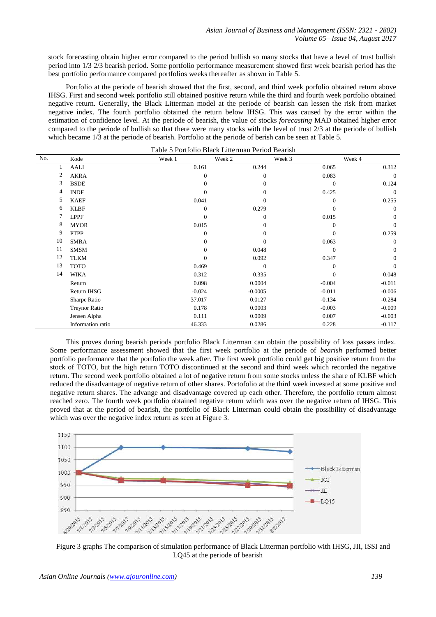stock forecasting obtain higher error compared to the period bullish so many stocks that have a level of trust bullish period into 1/3 2/3 bearish period. Some portfolio performance measurement showed first week bearish period has the best portfolio performance compared portfolios weeks thereafter as shown in Table 5.

Portfolio at the periode of bearish showed that the first, second, and third week porfolio obtained return above IHSG. First and second week portfolio still obtained positive return while the third and fourth week portfolio obtained negative return. Generally, the Black Litterman model at the periode of bearish can lessen the risk from market negative index. The fourth portfolio obtained the return below IHSG. This was caused by the error within the estimation of confidence level. At the periode of bearish, the value of stocks *forecasting* MAD obtained higher error compared to the periode of bullish so that there were many stocks with the level of trust 2/3 at the periode of bullish which became  $1/3$  at the periode of bearish. Portfolio at the periode of berish can be seen at Table 5.

| No. | Kode                 | Week 1   | Week 2    | Week 3       | Week 4         |
|-----|----------------------|----------|-----------|--------------|----------------|
| 1   | AALI                 | 0.161    | 0.244     | 0.065        | 0.312          |
| 2   | <b>AKRA</b>          | 0        | 0         | 0.083        | $\overline{0}$ |
| 3   | <b>BSDE</b>          | 0        | 0         | $\mathbf{0}$ | 0.124          |
| 4   | <b>INDF</b>          | 0        | 0         | 0.425        | $\overline{0}$ |
| 5   | <b>KAEF</b>          | 0.041    |           | $\Omega$     | 0.255          |
| 6   | <b>KLBF</b>          | 0        | 0.279     | $\Omega$     | $\Omega$       |
| 7   | <b>LPPF</b>          |          | $\theta$  | 0.015        | $\Omega$       |
| 8   | <b>MYOR</b>          | 0.015    | 0         | $\Omega$     | $\Omega$       |
| 9   | <b>PTPP</b>          | $\Omega$ | 0         | $\Omega$     | 0.259          |
| 10  | <b>SMRA</b>          | 0        | 0         | 0.063        | $\Omega$       |
| 11  | SMSM                 | 0        | 0.048     | $\Omega$     | $\Omega$       |
| 12  | <b>TLKM</b>          | 0        | 0.092     | 0.347        | $\Omega$       |
| 13  | <b>TOTO</b>          | 0.469    | $\theta$  | $\mathbf{0}$ | $\Omega$       |
| 14  | <b>WIKA</b>          | 0.312    | 0.335     | $\mathbf{0}$ | 0.048          |
|     | Return               | 0.098    | 0.0004    | $-0.004$     | $-0.011$       |
|     | Return IHSG          | $-0.024$ | $-0.0005$ | $-0.011$     | $-0.006$       |
|     | Sharpe Ratio         | 37.017   | 0.0127    | $-0.134$     | $-0.284$       |
|     | <b>Treynor Ratio</b> | 0.178    | 0.0003    | $-0.003$     | $-0.009$       |
|     | Jensen Alpha         | 0.111    | 0.0009    | 0.007        | $-0.003$       |
|     | Information ratio    | 46.333   | 0.0286    | 0.228        | $-0.117$       |

This proves during bearish periods portfolio Black Litterman can obtain the possibility of loss passes index. Some performance assessment showed that the first week portfolio at the periode of *bearish* performed better portfolio performance that the portfolio the week after. The first week portfolio could get big positive return from the stock of TOTO, but the high return TOTO discontinued at the second and third week which recorded the negative return. The second week portfolio obtained a lot of negative return from some stocks unless the share of KLBF which reduced the disadvantage of negative return of other shares. Portofolio at the third week invested at some positive and negative return shares. The advange and disadvantage covered up each other. Therefore, the portfolio return almost reached zero. The fourth week portfolio obtained negative return which was over the negative return of IHSG. This proved that at the period of bearish, the portfolio of Black Litterman could obtain the possibility of disadvantage which was over the negative index return as seen at Figure 3.